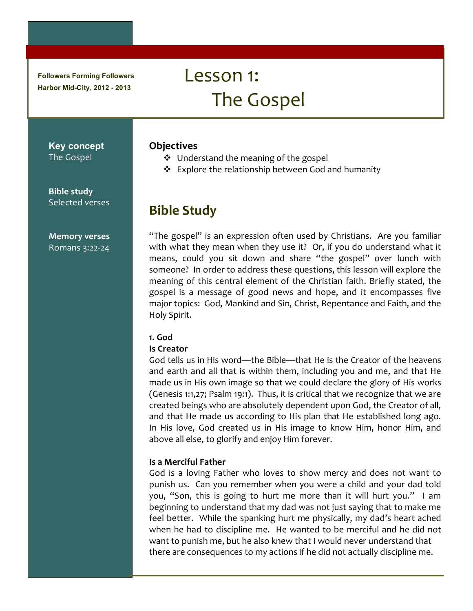**Followers Forming Followers Harbor Mid-City, 2012 - 2013** 

# Lesson 1: The Gospel

# **Objectives**

- ❖ Understand the meaning of the gospel
- ❖ Explore the relationship between God and humanity

# **Bible Study**

"The gospel" is an expression often used by Christians. Are you familiar with what they mean when they use it? Or, if you do understand what it means, could you sit down and share "the gospel" over lunch with someone? In order to address these questions, this lesson will explore the meaning of this central element of the Christian faith. Briefly stated, the gospel is a message of good news and hope, and it encompasses five major topics: God, Mankind and Sin, Christ, Repentance and Faith, and the Holy Spirit.

# 1. God

#### **Is Creator**

God tells us in His word—the Bible—that He is the Creator of the heavens and earth and all that is within them, including you and me, and that He made us in His own image so that we could declare the glory of His works (Genesis 1:1,27; Psalm 19:1). Thus, it is critical that we recognize that we are created beings who are absolutely dependent upon God, the Creator of all, and that He made us according to His plan that He established long ago. In His love, God created us in His image to know Him, honor Him, and above all else, to glorify and enjoy Him forever.

#### Is a Merciful Father

God is a loving Father who loves to show mercy and does not want to punish us. Can you remember when you were a child and your dad told you, "Son, this is going to hurt me more than it will hurt you." I am beginning to understand that my dad was not just saying that to make me feel better. While the spanking hurt me physically, my dad's heart ached when he had to discipline me. He wanted to be merciful and he did not want to punish me, but he also knew that I would never understand that there are consequences to my actions if he did not actually discipline me.

**Key concept** The Gospel

**Bible study** Selected verses

**Memory verses** Romans 3:22-24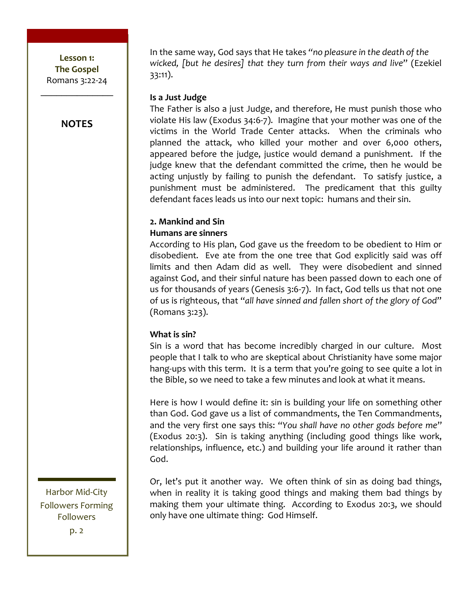# **NOTES**

In the same way, God says that He takes "no pleasure in the death of the wicked, [but he desires] that they turn from their ways and live" (Ezekiel  $33:11$ ).

#### Is a Just Judge

The Father is also a just Judge, and therefore, He must punish those who violate His law (Exodus 34:6-7). Imagine that your mother was one of the victims in the World Trade Center attacks. When the criminals who planned the attack, who killed your mother and over 6,000 others, appeared before the judge, justice would demand a punishment. If the judge knew that the defendant committed the crime, then he would be acting unjustly by failing to punish the defendant. To satisfy justice, a punishment must be administered. The predicament that this guilty defendant faces leads us into our next topic: humans and their sin.

#### 2. Mankind and Sin

#### **Humans are sinners**

According to His plan, God gave us the freedom to be obedient to Him or disobedient. Eve ate from the one tree that God explicitly said was off limits and then Adam did as well. They were disobedient and sinned against God, and their sinful nature has been passed down to each one of us for thousands of years (Genesis 3:6-7). In fact, God tells us that not one of us is righteous, that "all have sinned and fallen short of the glory of God" (Romans 3:23).

#### What is sin?

Sin is a word that has become incredibly charged in our culture. Most people that I talk to who are skeptical about Christianity have some major hang-ups with this term. It is a term that you're going to see quite a lot in the Bible, so we need to take a few minutes and look at what it means.

Here is how I would define it: sin is building your life on something other than God. God gave us a list of commandments, the Ten Commandments, and the very first one says this: "You shall have no other gods before me" (Exodus 20:3). Sin is taking anything (including good things like work, relationships, influence, etc.) and building your life around it rather than God.

Or, let's put it another way. We often think of sin as doing bad things, when in reality it is taking good things and making them bad things by making them your ultimate thing. According to Exodus 20:3, we should only have one ultimate thing: God Himself.

Harbor Mid-City **Followers Forming Followers** 

 $p.2$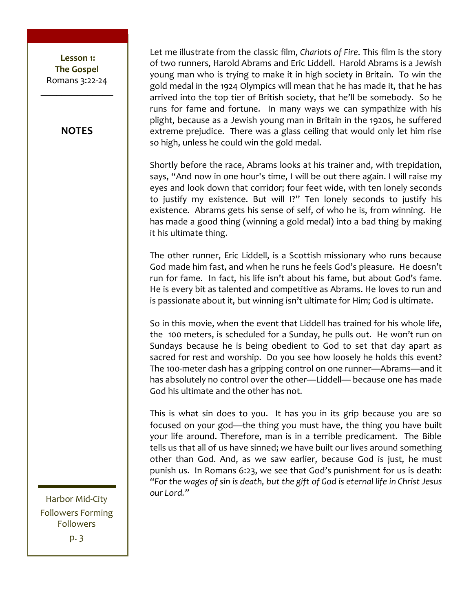Lesson 1: **The!Gospel** Romans 3:22-24  $\frac{1}{2}$ 

#### **NOTES**

Let me illustrate from the classic film, *Chariots of Fire*. This film is the story of two runners, Harold Abrams and Eric Liddell. Harold Abrams is a Jewish young man who is trying to make it in high society in Britain. To win the gold medal in the 1924 Olympics will mean that he has made it, that he has arrived into the top tier of British society, that he'll be somebody. So he runs for fame and fortune. In many ways we can sympathize with his plight, because as a Jewish young man in Britain in the 1920s, he suffered extreme prejudice. There was a glass ceiling that would only let him rise so high, unless he could win the gold medal.

Shortly before the race, Abrams looks at his trainer and, with trepidation, says, "And now in one hour's time, I will be out there again. I will raise my eyes and look down that corridor; four feet wide, with ten lonely seconds to justify my existence. But will I?" Ten lonely seconds to justify his existence. Abrams gets his sense of self, of who he is, from winning. He has made a good thing (winning a gold medal) into a bad thing by making it his ultimate thing.

The other runner, Eric Liddell, is a Scottish missionary who runs because God made him fast, and when he runs he feels God's pleasure. He doesn't run for fame. In fact, his life isn't about his fame, but about God's fame. He is every bit as talented and competitive as Abrams. He loves to run and is passionate about it, but winning isn't ultimate for Him; God is ultimate.

So in this movie, when the event that Liddell has trained for his whole life, the 100 meters, is scheduled for a Sunday, he pulls out. He won't run on Sundays because he is being obedient to God to set that day apart as sacred for rest and worship. Do you see how loosely he holds this event? The 100-meter dash has a gripping control on one runner—Abrams—and it has absolutely no control over the other—Liddell— because one has made God his ultimate and the other has not.

This is what sin does to you. It has you in its grip because you are so focused on your god—the thing you must have, the thing you have built your life around. Therefore, man is in a terrible predicament. The Bible tells us that all of us have sinned; we have built our lives around something other than God. And, as we saw earlier, because God is just, he must punish us. In Romans 6:23, we see that God's punishment for us is death: "For the wages of sin is death, but the gift of God is eternal life in Christ Jesus our Lord."

Harbor Mid-City Followers Forming Followers  $p.3$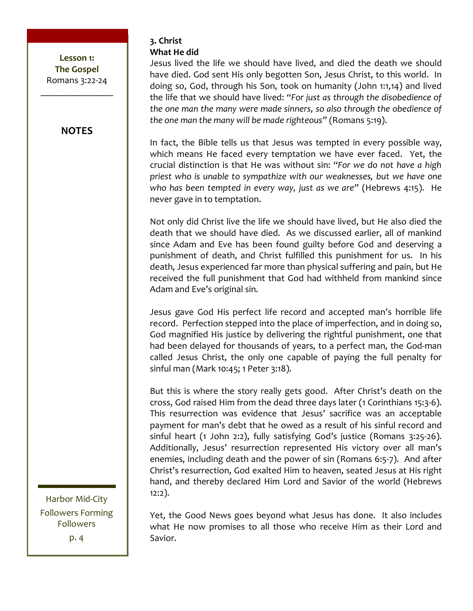# **NOTES**

3. Christ What He did

Jesus lived the life we should have lived, and died the death we should have died. God sent His only begotten Son, Jesus Christ, to this world. In doing so, God, through his Son, took on humanity (John 1:1,14) and lived the life that we should have lived: "For just as through the disobedience of the one man the many were made sinners, so also through the obedience of the one man the many will be made righteous" (Romans 5:19).

In fact, the Bible tells us that Jesus was tempted in every possible way, which means He faced every temptation we have ever faced. Yet, the crucial distinction is that He was without sin: "For we do not have a high priest who is unable to sympathize with our weaknesses, but we have one who has been tempted in every way, just as we are" (Hebrews 4:15). He never gave in to temptation.

Not only did Christ live the life we should have lived, but He also died the death that we should have died. As we discussed earlier, all of mankind since Adam and Eve has been found guilty before God and deserving a punishment of death, and Christ fulfilled this punishment for us. In his death, Jesus experienced far more than physical suffering and pain, but He received the full punishment that God had withheld from mankind since Adam and Eve's original sin.

Jesus gave God His perfect life record and accepted man's horrible life record. Perfection stepped into the place of imperfection, and in doing so, God magnified His justice by delivering the rightful punishment, one that had been delayed for thousands of years, to a perfect man, the God-man called Jesus Christ, the only one capable of paying the full penalty for sinful man (Mark 10:45; 1 Peter 3:18).

But this is where the story really gets good. After Christ's death on the cross, God raised Him from the dead three days later (1 Corinthians 15:3-6). This resurrection was evidence that Jesus' sacrifice was an acceptable payment for man's debt that he owed as a result of his sinful record and sinful heart (1 John 2:2), fully satisfying God's justice (Romans 3:25-26). Additionally, Jesus' resurrection represented His victory over all man's enemies, including death and the power of sin (Romans 6:5-7). And after Christ's resurrection, God exalted Him to heaven, seated Jesus at His right hand, and thereby declared Him Lord and Savior of the world (Hebrews  $12:2$ ).

Harbor Mid-City **Followers Forming Followers** p. 4

Yet, the Good News goes beyond what Jesus has done. It also includes what He now promises to all those who receive Him as their Lord and Savior.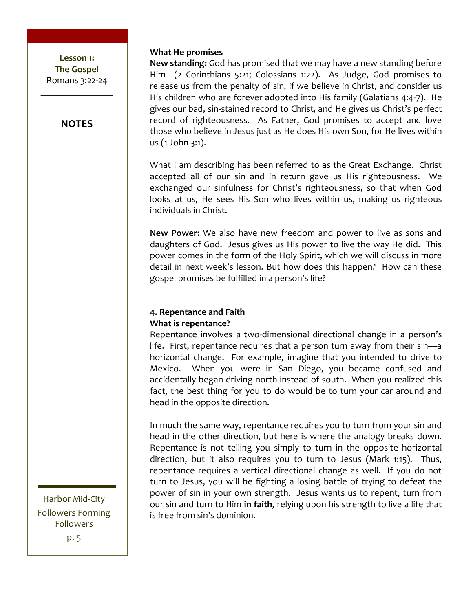$\frac{1}{2}$ 

# **NOTES**

**What He promises** 

New standing: God has promised that we may have a new standing before Him (2 Corinthians 5:21; Colossians 1:22). As Judge, God promises to release us from the penalty of sin, if we believe in Christ, and consider us His children who are forever adopted into His family (Galatians 4:4-7). He gives our bad, sin-stained record to Christ, and He gives us Christ's perfect record of righteousness. As Father, God promises to accept and love those who believe in Jesus just as He does His own Son, for He lives within us  $(1$  John  $3:1$ ).

What I am describing has been referred to as the Great Exchange. Christ accepted all of our sin and in return gave us His righteousness. We exchanged our sinfulness for Christ's righteousness, so that when God looks at us, He sees His Son who lives within us, making us righteous individuals in Christ.

**New Power:** We also have new freedom and power to live as sons and daughters of God. Jesus gives us His power to live the way He did. This power comes in the form of the Holy Spirit, which we will discuss in more detail in next week's lesson. But how does this happen? How can these gospel promises be fulfilled in a person's life?

# **4. Repentance and Faith What is repentance?**

Repentance involves a two-dimensional directional change in a person's life. First, repentance requires that a person turn away from their sin—a horizontal change. For example, imagine that you intended to drive to Mexico.\$ \$ When\$ you\$ were\$ in\$ San\$ Diego,\$ you\$ became\$ confused\$ and\$ accidentally began driving north instead of south. When you realized this fact, the best thing for you to do would be to turn your car around and head in the opposite direction.

In much the same way, repentance requires you to turn from your sin and head in the other direction, but here is where the analogy breaks down. Repentance is not telling you simply to turn in the opposite horizontal direction, but it also requires you to turn to Jesus (Mark 1:15). Thus, repentance requires a vertical directional change as well. If you do not turn to Jesus, you will be fighting a losing battle of trying to defeat the power of sin in your own strength. Jesus wants us to repent, turn from our sin and turn to Him in faith, relying upon his strength to live a life that is free from sin's dominion.

Harbor Mid-City Followers Forming Followers p. 5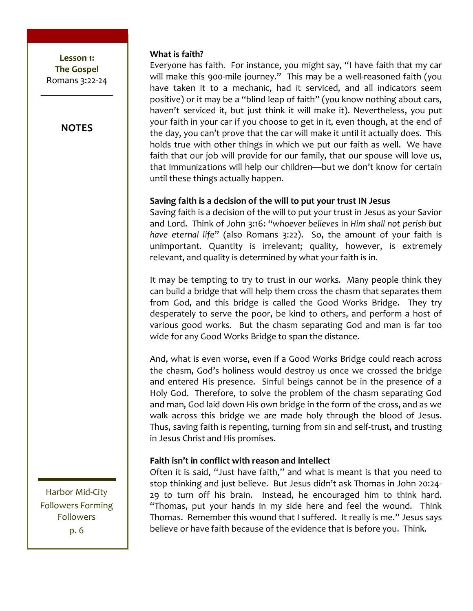**NOTES** 

Harbor Mid-City **Followers Forming Followers** p. 6

#### What is faith?

Everyone has faith. For instance, you might say, "I have faith that my car will make this 900-mile journey." This may be a well-reasoned faith (you have taken it to a mechanic, had it serviced, and all indicators seem positive) or it may be a "blind leap of faith" (you know nothing about cars, haven't serviced it, but just think it will make it). Nevertheless, you put your faith in your car if you choose to get in it, even though, at the end of the day, you can't prove that the car will make it until it actually does. This holds true with other things in which we put our faith as well. We have faith that our job will provide for our family, that our spouse will love us, that immunizations will help our children-but we don't know for certain until these things actually happen.

# Saving faith is a decision of the will to put your trust IN Jesus

Saving faith is a decision of the will to put your trust in Jesus as your Savior and Lord. Think of John 3:16: "whoever believes in Him shall not perish but have eternal life" (also Romans 3:22). So, the amount of your faith is unimportant. Quantity is irrelevant; quality, however, is extremely relevant, and quality is determined by what your faith is in.

It may be tempting to try to trust in our works. Many people think they can build a bridge that will help them cross the chasm that separates them from God, and this bridge is called the Good Works Bridge. They try desperately to serve the poor, be kind to others, and perform a host of various good works. But the chasm separating God and man is far too wide for any Good Works Bridge to span the distance.

And, what is even worse, even if a Good Works Bridge could reach across the chasm, God's holiness would destroy us once we crossed the bridge and entered His presence. Sinful beings cannot be in the presence of a Holy God. Therefore, to solve the problem of the chasm separating God and man, God laid down His own bridge in the form of the cross, and as we walk across this bridge we are made holy through the blood of Jesus. Thus, saving faith is repenting, turning from sin and self-trust, and trusting in Jesus Christ and His promises.

# Faith isn't in conflict with reason and intellect

Often it is said, "Just have faith," and what is meant is that you need to stop thinking and just believe. But Jesus didn't ask Thomas in John 20:24-29 to turn off his brain. Instead, he encouraged him to think hard. "Thomas, put your hands in my side here and feel the wound. Think Thomas. Remember this wound that I suffered. It really is me." Jesus says believe or have faith because of the evidence that is before you. Think.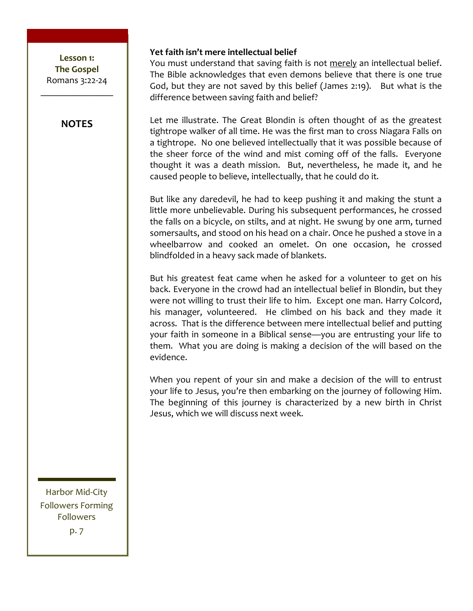Lesson 1: **The!Gospel** Romans 3:22-24  $\frac{1}{2}$ 

# **NOTES**

Yet faith isn't mere intellectual belief

You must understand that saving faith is not merely an intellectual belief. The Bible acknowledges that even demons believe that there is one true God, but they are not saved by this belief (James 2:19). But what is the difference between saving faith and belief?

Let me illustrate. The Great Blondin is often thought of as the greatest tightrope walker of all time. He was the first man to cross Niagara Falls on a tightrope. No one believed intellectually that it was possible because of the sheer force of the wind and mist coming off of the falls. Everyone thought it was a death mission. But, nevertheless, he made it, and he caused people to believe, intellectually, that he could do it.

But like any daredevil, he had to keep pushing it and making the stunt a little more unbelievable. During his subsequent performances, he crossed the falls on a bicycle, on stilts, and at night. He swung by one arm, turned somersaults, and stood on his head on a chair. Once he pushed a stove in a wheelbarrow and cooked an omelet. On one occasion, he crossed blindfolded in a heavy sack made of blankets.

But his greatest feat came when he asked for a volunteer to get on his back. Everyone in the crowd had an intellectual belief in Blondin, but they were not willing to trust their life to him. Except one man. Harry Colcord, his manager, volunteered. He climbed on his back and they made it across. That is the difference between mere intellectual belief and putting your faith in someone in a Biblical sense—you are entrusting your life to them. What you are doing is making a decision of the will based on the evidence.

When you repent of your sin and make a decision of the will to entrust your life to Jesus, you're then embarking on the journey of following Him. The beginning of this journey is characterized by a new birth in Christ Jesus, which we will discuss next week.

Harbor Mid-City Followers Forming Followers  $p.7$